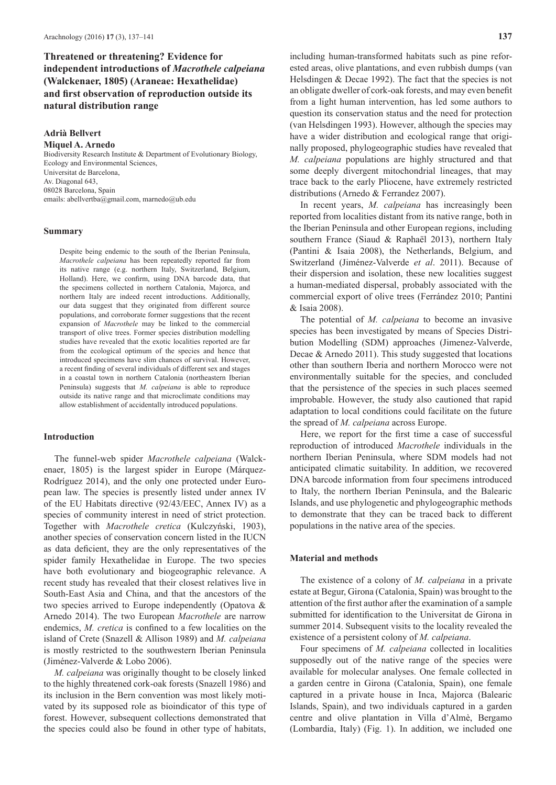# **Threatened or threatening? Evidence for independent introductions of** *Macrothele calpeiana* **(Walckenaer, 1805) (Araneae: Hexathelidae) and first observation of reproduction outside its natural distribution range**

## **Adrià Bellvert**

**Miquel A. Arnedo**

Biodiversity Research Institute & Department of Evolutionary Biology, Ecology and Environmental Sciences, Universitat de Barcelona, Av. Diagonal 643, 08028 Barcelona, Spain emails: abellvertba@gmail.com, marnedo@ub.edu

#### **Summary**

Despite being endemic to the south of the Iberian Peninsula, *Macrothele calpeiana* has been repeatedly reported far from its native range (e.g. northern Italy, Switzerland, Belgium, Holland). Here, we confirm, using DNA barcode data, that the specimens collected in northern Catalonia, Majorca, and northern Italy are indeed recent introductions. Additionally, our data suggest that they originated from different source populations, and corroborate former suggestions that the recent expansion of *Macrothele* may be linked to the commercial transport of olive trees. Former species distribution modelling studies have revealed that the exotic localities reported are far from the ecological optimum of the species and hence that introduced specimens have slim chances of survival. However, a recent finding of several individuals of different sex and stages in a coastal town in northern Catalonia (northeastern Iberian Peninsula) suggests that *M. calpeiana* is able to reproduce outside its native range and that microclimate conditions may allow establishment of accidentally introduced populations.

### **Introduction**

The funnel-web spider *Macrothele calpeiana* (Walckenaer, 1805) is the largest spider in Europe (Márquez-Rodríguez 2014), and the only one protected under European law. The species is presently listed under annex IV of the EU Habitats directive (92/43/EEC, Annex IV) as a species of community interest in need of strict protection. Together with *Macrothele cretica* (Kulczyński, 1903), another species of conservation concern listed in the IUCN as data deficient, they are the only representatives of the spider family Hexathelidae in Europe. The two species have both evolutionary and biogeographic relevance. A recent study has revealed that their closest relatives live in South-East Asia and China, and that the ancestors of the two species arrived to Europe independently (Opatova & Arnedo 2014). The two European *Macrothele* are narrow endemics, *M. cretica* is confined to a few localities on the island of Crete (Snazell & Allison 1989) and *M. calpeiana* is mostly restricted to the southwestern Iberian Peninsula (Jiménez-Valverde & Lobo 2006).

*M. calpeiana* was originally thought to be closely linked to the highly threatened cork-oak forests (Snazell 1986) and its inclusion in the Bern convention was most likely motivated by its supposed role as bioindicator of this type of forest. However, subsequent collections demonstrated that the species could also be found in other type of habitats,

including human-transformed habitats such as pine reforested areas, olive plantations, and even rubbish dumps (van Helsdingen & Decae 1992). The fact that the species is not an obligate dweller of cork-oak forests, and may even benefit from a light human intervention, has led some authors to question its conservation status and the need for protection (van Helsdingen 1993). However, although the species may have a wider distribution and ecological range that originally proposed, phylogeographic studies have revealed that *M. calpeiana* populations are highly structured and that some deeply divergent mitochondrial lineages, that may trace back to the early Pliocene, have extremely restricted distributions (Arnedo & Ferrandez 2007).

In recent years, *M. calpeiana* has increasingly been reported from localities distant from its native range, both in the Iberian Peninsula and other European regions, including southern France (Siaud & Raphaël 2013), northern Italy (Pantini & Isaia 2008), the Netherlands, Belgium, and Switzerland (Jiménez-Valverde *et al*. 2011). Because of their dispersion and isolation, these new localities suggest a human-mediated dispersal, probably associated with the commercial export of olive trees (Ferrández 2010; Pantini & Isaia 2008).

The potential of *M. calpeiana* to become an invasive species has been investigated by means of Species Distribution Modelling (SDM) approaches (Jimenez-Valverde, Decae & Arnedo 2011). This study suggested that locations other than southern Iberia and northern Morocco were not environmentally suitable for the species, and concluded that the persistence of the species in such places seemed improbable. However, the study also cautioned that rapid adaptation to local conditions could facilitate on the future the spread of *M. calpeiana* across Europe.

Here, we report for the first time a case of successful reproduction of introduced *Macrothele* individuals in the northern Iberian Peninsula, where SDM models had not anticipated climatic suitability. In addition, we recovered DNA barcode information from four specimens introduced to Italy, the northern Iberian Peninsula, and the Balearic Islands, and use phylogenetic and phylogeographic methods to demonstrate that they can be traced back to different populations in the native area of the species.

## **Material and methods**

The existence of a colony of *M. calpeiana* in a private estate at Begur, Girona (Catalonia, Spain) was brought to the attention of the first author after the examination of a sample submitted for identification to the Universitat de Girona in summer 2014. Subsequent visits to the locality revealed the existence of a persistent colony of *M. calpeiana*.

Four specimens of *M. calpeiana* collected in localities supposedly out of the native range of the species were available for molecular analyses. One female collected in a garden centre in Girona (Catalonia, Spain), one female captured in a private house in Inca, Majorca (Balearic Islands, Spain), and two individuals captured in a garden centre and olive plantation in Villa d'Almè, Bergamo (Lombardia, Italy) (Fig. 1). In addition, we included one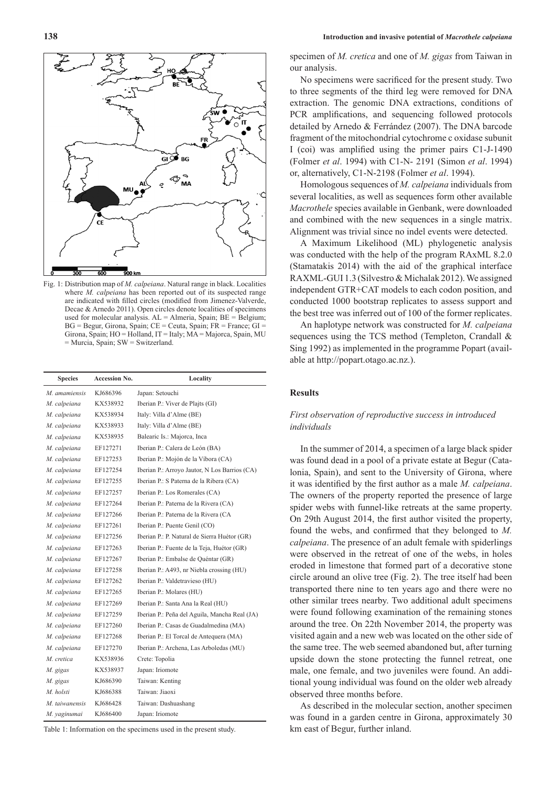

Fig. 1: Distribution map of *M. calpeiana*. Natural range in black. Localities where *M. calpeiana* has been reported out of its suspected range are indicated with filled circles (modified from Jimenez-Valverde, Decae & Arnedo 2011). Open circles denote localities of specimens used for molecular analysis. AL = Almeria, Spain; BE = Belgium; BG = Begur, Girona, Spain; CE = Ceuta, Spain; FR = France; GI = Girona, Spain; HO = Holland, IT = Italy; MA = Majorca, Spain, MU = Murcia, Spain; SW = Switzerland.

| <b>Species</b> | <b>Accession No.</b> | Locality                                      |
|----------------|----------------------|-----------------------------------------------|
| M. amamiensis  | KJ686396             | Japan: Setouchi                               |
| M. calpeiana   | KX538932             | Iberian P.: Viver de Plajts (GI)              |
| M. calpeiana   | KX538934             | Italy: Villa d'Alme (BE)                      |
| M. calpeiana   | KX538933             | Italy: Villa d'Alme (BE)                      |
| M. calpeiana   | KX538935             | Balearic Is.: Majorca, Inca                   |
| M. calpeiana   | EF127271             | Iberian P.: Calera de León (BA)               |
| M. calpeiana   | EF127253             | Iberian P.: Mojón de la Víbora (CA)           |
| M. calpeiana   | EF127254             | Iberian P.: Arroyo Jautor, N Los Barrios (CA) |
| M. calpeiana   | EF127255             | Iberian P.: S Paterna de la Ribera (CA)       |
| M. calpeiana   | EF127257             | Iberian P.: Los Romerales (CA)                |
| M. calpeiana   | EF127264             | Iberian P.: Paterna de la Rivera (CA)         |
| M. calpeiana   | EF127266             | Iberian P.: Paterna de la Rivera (CA          |
| M. calpeiana   | EF127261             | Iberian P.: Puente Genil (CO)                 |
| M. calpeiana   | EF127256             | Iberian P.: P. Natural de Sierra Huétor (GR)  |
| M. calpeiana   | EF127263             | Iberian P.: Fuente de la Teja, Huétor (GR)    |
| M. calpeiana   | EF127267             | Iberian P.: Embalse de Quéntar (GR)           |
| M. calpeiana   | EF127258             | Iberian P.: A493, nr Niebla crossing (HU)     |
| M. calpeiana   | EF127262             | Iberian P.: Valdetravieso (HU)                |
| M. calpeiana   | EF127265             | Iberian P.: Molares (HU)                      |
| M. calpeiana   | EF127269             | Iberian P.: Santa Ana la Real (HU)            |
| M. calpeiana   | EF127259             | Iberian P.: Peña del Aguila, Mancha Real (JA) |
| M. calpeiana   | EF127260             | Iberian P.: Casas de Guadalmedina (MA)        |
| M. calpeiana   | EF127268             | Iberian P.: El Torcal de Antequera (MA)       |
| M. calpeiana   | EF127270             | Iberian P.: Archena, Las Arboledas (MU)       |
| M. cretica     | KX538936             | Crete: Topolia                                |
| M. gigas       | KX538937             | Japan: Iriomote                               |
| M. gigas       | KJ686390             | Taiwan: Kenting                               |
| M. holsti      | KJ686388             | Taiwan: Jiaoxi                                |
| M. taiwanensis | KJ686428             | Taiwan: Dashuashang                           |
| M. yaginumai   | KJ686400             | Japan: Iriomote                               |

Table 1: Information on the specimens used in the present study.

specimen of *M. cretica* and one of *M. gigas* from Taiwan in our analysis.

No specimens were sacrificed for the present study. Two to three segments of the third leg were removed for DNA extraction. The genomic DNA extractions, conditions of PCR amplifications, and sequencing followed protocols detailed by Arnedo & Ferrández (2007). The DNA barcode fragment of the mitochondrial cytochrome c oxidase subunit I (coi) was amplified using the primer pairs C1-J-1490 (Folmer *et al*. 1994) with C1-N- 2191 (Simon *et al*. 1994) or, alternatively, C1-N-2198 (Folmer *et al*. 1994).

Homologous sequences of *M. calpeiana* individuals from several localities, as well as sequences form other available *Macrothele* species available in Genbank, were downloaded and combined with the new sequences in a single matrix. Alignment was trivial since no indel events were detected.

A Maximum Likelihood (ML) phylogenetic analysis was conducted with the help of the program RAxML 8.2.0 (Stamatakis 2014) with the aid of the graphical interface RAXML-GUI 1.3 (Silvestro & Michalak 2012). We assigned independent GTR+CAT models to each codon position, and conducted 1000 bootstrap replicates to assess support and the best tree was inferred out of 100 of the former replicates.

An haplotype network was constructed for *M. calpeiana* sequences using the TCS method (Templeton, Crandall & Sing 1992) as implemented in the programme Popart (available at http://popart.otago.ac.nz.).

## **Results**

## *First observation of reproductive success in introduced individuals*

In the summer of 2014, a specimen of a large black spider was found dead in a pool of a private estate at Begur (Catalonia, Spain), and sent to the University of Girona, where it was identified by the first author as a male *M. calpeiana*. The owners of the property reported the presence of large spider webs with funnel-like retreats at the same property. On 29th August 2014, the first author visited the property, found the webs, and confirmed that they belonged to *M. calpeiana*. The presence of an adult female with spiderlings were observed in the retreat of one of the webs, in holes eroded in limestone that formed part of a decorative stone circle around an olive tree (Fig. 2). The tree itself had been transported there nine to ten years ago and there were no other similar trees nearby. Two additional adult specimens were found following examination of the remaining stones around the tree. On 22th November 2014, the property was visited again and a new web was located on the other side of the same tree. The web seemed abandoned but, after turning upside down the stone protecting the funnel retreat, one male, one female, and two juveniles were found. An additional young individual was found on the older web already observed three months before.

As described in the molecular section, another specimen was found in a garden centre in Girona, approximately 30 km east of Begur, further inland.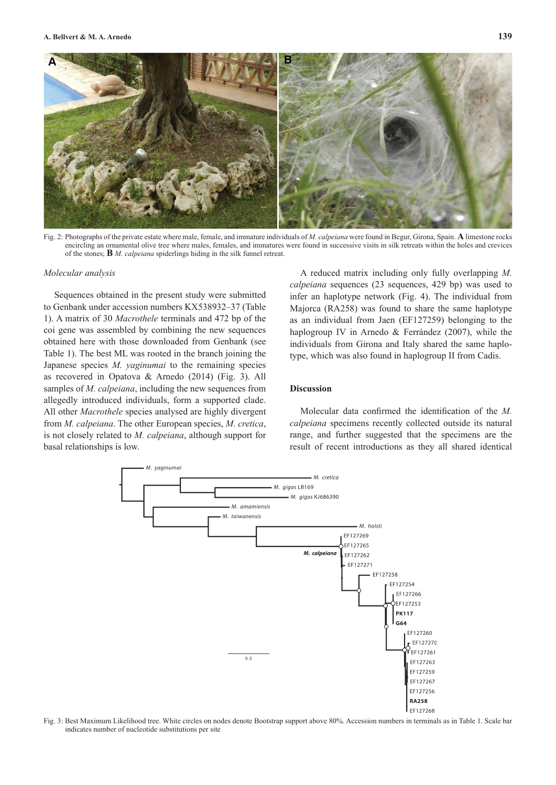

Fig. 2: Photographs of the private estate where male, female, and immature individuals of *M. calpeiana* were found in Begur, Girona, Spain. **A** limestone rocks encircling an ornamental olive tree where males, females, and immatures were found in successive visits in silk retreats within the holes and crevices of the stones; **B** *M. calpeiana* spiderlings hiding in the silk funnel retreat.

#### *Molecular analysis*

Sequences obtained in the present study were submitted to Genbank under accession numbers KX538932–37 (Table 1). A matrix of 30 *Macrothele* terminals and 472 bp of the coi gene was assembled by combining the new sequences obtained here with those downloaded from Genbank (see Table 1). The best ML was rooted in the branch joining the Japanese species *M. yaginumai* to the remaining species as recovered in Opatova & Arnedo (2014) (Fig. 3). All samples of *M. calpeiana*, including the new sequences from allegedly introduced individuals, form a supported clade. All other *Macrothele* species analysed are highly divergent from *M. calpeiana*. The other European species, *M. cretica*, is not closely related to *M. calpeiana*, although support for basal relationships is low.

A reduced matrix including only fully overlapping *M. calpeiana* sequences (23 sequences, 429 bp) was used to infer an haplotype network (Fig. 4). The individual from Majorca (RA258) was found to share the same haplotype as an individual from Jaen (EF127259) belonging to the haplogroup IV in Arnedo & Ferrández (2007), while the individuals from Girona and Italy shared the same haplotype, which was also found in haplogroup II from Cadis.

## **Discussion**

Molecular data confirmed the identification of the *M. calpeiana* specimens recently collected outside its natural range, and further suggested that the specimens are the result of recent introductions as they all shared identical



Fig. 3: Best Maximum Likelihood tree. White circles on nodes denote Bootstrap support above 80%. Accession numbers in terminals as in Table 1. Scale bar indicates number of nucleotide substitutions per site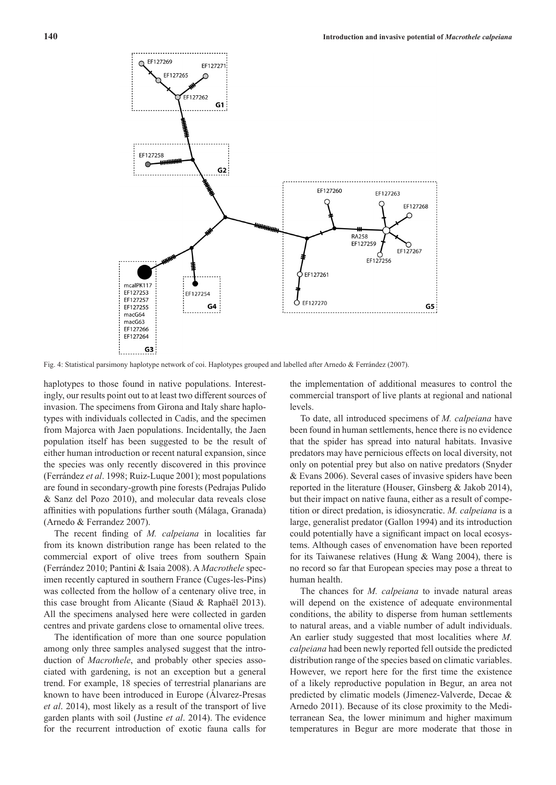

Fig. 4: Statistical parsimony haplotype network of coi. Haplotypes grouped and labelled after Arnedo & Ferrández (2007).

haplotypes to those found in native populations. Interestingly, our results point out to at least two different sources of invasion. The specimens from Girona and Italy share haplotypes with individuals collected in Cadis, and the specimen from Majorca with Jaen populations. Incidentally, the Jaen population itself has been suggested to be the result of either human introduction or recent natural expansion, since the species was only recently discovered in this province (Ferrández *et al*. 1998; Ruiz-Luque 2001); most populations are found in secondary-growth pine forests (Pedrajas Pulido & Sanz del Pozo 2010), and molecular data reveals close affinities with populations further south (Málaga, Granada) (Arnedo & Ferrandez 2007).

The recent finding of *M. calpeiana* in localities far from its known distribution range has been related to the commercial export of olive trees from southern Spain (Ferrández 2010; Pantini & Isaia 2008). A *Macrothele* specimen recently captured in southern France (Cuges-les-Pins) was collected from the hollow of a centenary olive tree, in this case brought from Alicante (Siaud & Raphaël 2013). All the specimens analysed here were collected in garden centres and private gardens close to ornamental olive trees.

The identification of more than one source population among only three samples analysed suggest that the introduction of *Macrothele*, and probably other species associated with gardening, is not an exception but a general trend. For example, 18 species of terrestrial planarians are known to have been introduced in Europe (Álvarez-Presas *et al*. 2014), most likely as a result of the transport of live garden plants with soil (Justine *et al*. 2014). The evidence for the recurrent introduction of exotic fauna calls for the implementation of additional measures to control the commercial transport of live plants at regional and national levels.

To date, all introduced specimens of *M. calpeiana* have been found in human settlements, hence there is no evidence that the spider has spread into natural habitats. Invasive predators may have pernicious effects on local diversity, not only on potential prey but also on native predators (Snyder & Evans 2006). Several cases of invasive spiders have been reported in the literature (Houser, Ginsberg & Jakob 2014), but their impact on native fauna, either as a result of competition or direct predation, is idiosyncratic. *M. calpeiana* is a large, generalist predator (Gallon 1994) and its introduction could potentially have a significant impact on local ecosystems. Although cases of envenomation have been reported for its Taiwanese relatives (Hung & Wang 2004), there is no record so far that European species may pose a threat to human health.

The chances for *M. calpeiana* to invade natural areas will depend on the existence of adequate environmental conditions, the ability to disperse from human settlements to natural areas, and a viable number of adult individuals. An earlier study suggested that most localities where *M. calpeiana* had been newly reported fell outside the predicted distribution range of the species based on climatic variables. However, we report here for the first time the existence of a likely reproductive population in Begur, an area not predicted by climatic models (Jimenez-Valverde, Decae & Arnedo 2011). Because of its close proximity to the Mediterranean Sea, the lower minimum and higher maximum temperatures in Begur are more moderate that those in